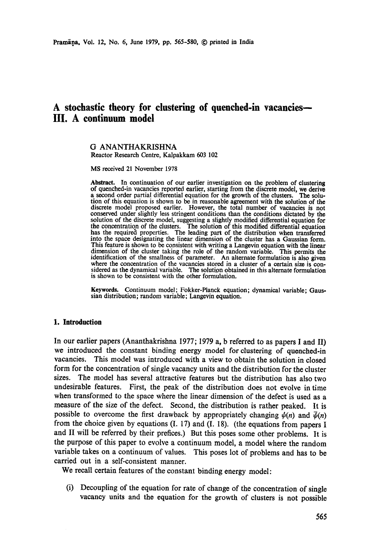# **A stochastic theory for clustering of quenched-in vacancies-- III. A continuum model**

# G ANANTHAKRISHNA

Reactor Research Centre, Kalpakkam 603 102

MS received 21 November 1978

**Abstract.** In continuation of our earlier investigation on the problem of clustering of quenched-in vacancies reported earlier, starting from the discrete model, we derive<br>a second order partial differential equation for the growth of the clusters. The solua second order partial differential equation for the growth of the clusters. tion of this equation is shown to be in reasonable agreement with the solution of the discrete model proposed earlier. However, the total number of vacancies is not conserved under slightly less stringent conditions than the conditions dictated by the solution of the discrete model, suggesting a slightly modified differential equation for the concentration of the dusters. The solution of this modified differential equation has the required properties. The leading part of the distribution when transferred into the space designating the linear dimension of the cluster has a Gaussian form. This feature is shown to be consistent with writing a Langevin equation with the linear dimension of the duster taking the role of the random variable. This permits the identification of the smallness of parameter. An alternate formulation is also given where the concentration of the vacancies stored in a duster of a certain size is considered as the dynamical variable. The solution obtained in this alternate formulation is shown to be consistent with the other formulation.

**Keywords.** Continuum model; Fokker-Planck equation; dynamical variable; Gaussian distribution; random variable; Langevin equation.

#### **1. Introduction**

In our earlier papers (Ananthakrishna 1977; 1979 a, b referred to as papers I and II) we introduced the constant binding energy model for clustering of quenched-in vacancies. This model was introduced with a view to obtain the solution in closed form for the concentration of single vacancy units and the distribution for the cluster sizes. The model has several attractive features but the distribution has also two undesirable features. First, the peak of the distribution does not evolve in time when transformed to the space where the linear dimension of the defect is used as a measure of the size of the defect. Second, the distribution is rather peaked. It is possible to overcome the first drawback by appropriately changing  $\psi(n)$  and  $\bar{\psi}(n)$ from the choice given by equations  $(I. 17)$  and  $(I. 18)$ . (the equations from papers I and II will be referred by their prefices.) But this poses some other problems. It is the purpose of this paper to evolve a continuum model, a model where the random variable takes on a continuum of values. This poses lot of problems and has to be carried out in a self-consistent manner.

We recall certain features of the constant binding energy model:

(i) Decoupling of the equation for rate of change of the concentration of single vacancy units and the equation for the growth of clusters is not possible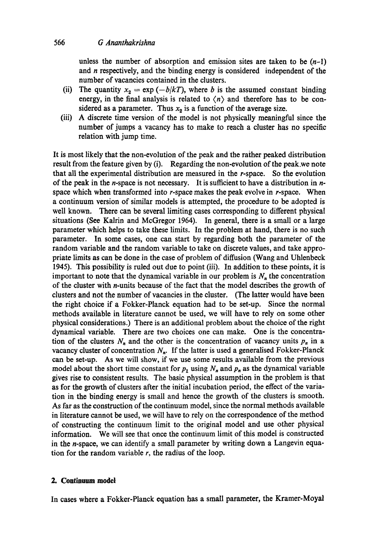unless the number of absorption and emission sites are taken to be  $(n-1)$ and n respectively, and the binding energy is considered independent of the number of vacancies contained in the dusters.

- (ii) The quantity  $x_2 = \exp(-b/kT)$ , where b is the assumed constant binding energy, in the final analysis is related to  $\langle n \rangle$  and therefore has to be considered as a parameter. Thus  $x<sub>2</sub>$  is a function of the average size.
- (iii) A discrete time version of the model is not physically meaningful since the number of jumps a vacancy has to make to reach a cluster has no specific relation with jump time.

It is most likely that the non-evolution of the peak and the rather peaked distribution result from the feature given by (i). Regarding the non-evolution of the peak.we note that all the experimental distribution are measured in the r-space. So the evolution of the peak in the *n*-space is not necessary. It is sufficient to have a distribution in  $n$ space which when transformed into r-space makes the peak evolve in r-space. When a continuum version of similar models is attempted, the procedure to be adopted is well known. There can be several limiting cases corresponding to different physical situations (See Kalrin and McGregor 1964). In general, there is a small or a large parameter which helps to take these limits. In the problem at hand, there is no such parameter. In some cases, one can start by regarding both the parameter of the random variable and the random variable to take on discrete values, and take appropriate limits as can be done in the case of problem of diffusion (Wang and Uhlenbeck 1945). This possibility is ruled out due to point (iii). In addition to these points, it is important to note that the dynamical variable in our problem is  $N_n$  the concentration of the cluster with n-units because of the fact that the model describes the growth of clusters and not the number of vacancies in the duster. (The latter would have been the right choice if a Fokker-Planck equation had to be set-up. Since the normal methods available in literature cannot be used, we will have to rely on some other physical considerations.) There is an additional problem about the choice of the right dynamical variable. There are two choices one can make. One is the concentration of the clusters  $N_n$  and the other is the concentration of vacancy units  $p_n$  in a vacancy cluster of concentration  $N_n$ . If the latter is used a generalised Fokker-Planck can be set-up. As we will show, if we use some results available from the previous model about the short time constant for  $p_1$  using  $N_n$  and  $p_n$  as the dynamical variable gives rise to consistent results. The basic physical assumption in the problem is that as for the growth of clusters after the initial incubation period, the effect of the variation in the binding energy is small and hence the growth of the clusters is smooth. As far as the construction of the continuum model, since the normal methods available in literature cannot be used, we will have to rely on the correspondence of the method of constructing the continuum limit to the original model and use other physical information. We will see that once the continuum limit of this model is constructed in the n-space, we can identify a small parameter by writing down a Langevin equation for the random variable  $r$ , the radius of the loop.

# **2. Continuum model**

In cases where a Fokker-Planck equation has a small parameter, the Kramer-Moyal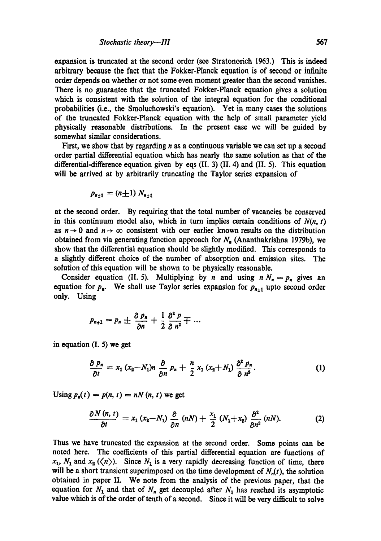expansion is truncated at the second order (see Stratonorich 1963.) This is indeed arbitrary because the fact that the Fokker-Planck equation is of second or infinite order depends on whether or not some even moment greater than the second vanishes. There is no guarantee that the truncated Fokker-Planck equation gives a solution which is consistent with the solution of the integral equation for the conditional probabilities (i.e., the Smoluchowski's equation). Yet in many cases the solutions of the truncated Fokker-Planck equation with the help of small parameter yield physically reasonable distributions. In the present case we will be guided by somewhat similar considerations.

First, we show that by regarding  $n$  as a continuous variable we can set up a second order partial differential equation which has nearly the same solution as that of the differential-difference equation given by eqs (II. 3) (II. 4) and (II. 5). This equation will be arrived at by arbitrarily truncating the Taylor series expansion of

$$
p_{n+1} = (n+1) N_{n+1}
$$

at the second order. By requiring that the total number of vacancies be conserved in this continuum model also, which in turn implies certain conditions of  $N(n, t)$ as  $n \rightarrow 0$  and  $n \rightarrow \infty$  consistent with our earlier known results on the distribution obtained from via generating function approach for  $N_n$  (Ananthakrishna 1979b), we show that the differential equation should be slightly modified. This corresponds to a slightly different choice of the number of absorption and emission sites. The solution of this equation will be shown to be physically reasonable.

Consider equation (II. 5). Multiplying by *n* and using  $n N_a = p_n$  gives an equation for  $p_n$ . We shall use Taylor series expansion for  $p_{n+1}$  upto second order only. Using

$$
p_{n+1} = p_n \pm \frac{\partial p_n}{\partial n} + \frac{1}{2} \frac{\partial^2 p}{\partial n^2} \mp \cdots
$$

in equation (I. 5) we get

$$
\frac{\partial p_n}{\partial t} = x_1 (x_2 - N_1) n \frac{\partial}{\partial n} p_n + \frac{n}{2} x_1 (x_2 + N_1) \frac{\partial^2 p_n}{\partial n^2}.
$$
 (1)

Using  $p_n(t) = p(n, t) = nN(n, t)$  we get

$$
\frac{\partial N(n, t)}{\partial t} = x_1 (x_2 - N_1) \frac{\partial}{\partial n} (nN) + \frac{x_1}{2} (N_1 + x_2) \frac{\partial^2}{\partial n^2} (nN). \tag{2}
$$

Thus we have truncated the expansion at the second order. Some points can be noted here. The coefficients of this partial differential equation are functions of  $x_1$ ,  $N_1$  and  $x_2$  ( $\langle n \rangle$ ). Since  $N_1$  is a very rapidly decreasing function of time, there will be a short transient superimposed on the time development of  $N_n(t)$ , the solution obtained in paper II. We note from the analysis of the previous paper, that the equation for  $N_1$  and that of  $N_n$  get decoupled after  $N_1$  has reached its asymptotic value which is of the order of tenth of a second. Since it will be very difficult to solve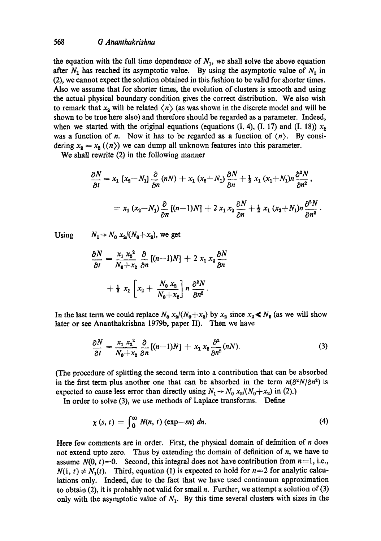the equation with the full time dependence of  $N_1$ , we shall solve the above equation after  $N_1$  has reached its asymptotic value. By using the asymptotic value of  $N_1$  in (2), we cannot expect the solution obtained in this fashion to be valid for shorter times. Also we assume that for shorter times, the evolution of clusters is smooth and using the actual physical boundary condition gives the correct distribution. We also wish to remark that  $x_2$  will be related  $\langle n \rangle$  (as was shown in the discrete model and will be shown to be true here also) and therefore should be regarded as a parameter. Indeed, when we started with the original equations (equations (I. 4), (I. 17) and (I. 18))  $x_2$ was a function of n. Now it has to be regarded as a function of  $\langle n \rangle$ . By considering  $x_2 = x_2 \left(\langle n \rangle\right)$  we can dump all unknown features into this parameter.

We shall rewrite (2) in the following manner

$$
\frac{\partial N}{\partial t} = x_1 \left[ x_2 - N_1 \right] \frac{\partial}{\partial n} (nN) + x_1 \left( x_2 + N_1 \right) \frac{\partial N}{\partial n} + \frac{1}{2} x_1 \left( x_1 + N_1 \right) n \frac{\partial^2 N}{\partial n^2},
$$
  
=  $x_1 \left( x_2 - N_1 \right) \frac{\partial}{\partial n} [(n-1)N] + 2 x_1 x_2 \frac{\partial N}{\partial n} + \frac{1}{2} x_1 \left( x_2 + N_1 \right) n \frac{\partial^2 N}{\partial n^2}.$ 

Using  $N_1 \rightarrow N_0 x_2/(N_0+x_2)$ , we get

$$
\frac{\partial N}{\partial t} = \frac{x_1 x_2^2}{N_0 + x_2} \frac{\partial}{\partial n} [(n-1)N] + 2 x_1 x_2 \frac{\partial N}{\partial n}
$$

$$
+ \frac{1}{2} x_1 \left[ x_2 + \frac{N_0 x_2}{N_0 + x_2} \right] n \frac{\partial^2 N}{\partial n^2}.
$$

In the last term we could replace  $N_0$   $x_2/(N_0+x_2)$  by  $x_2$  since  $x_2 \le N_0$  (as we will show later or see Ananthakrishna 1979b, paper II). Then we have

$$
\frac{\partial N}{\partial t} = \frac{x_1 x_2^2}{N_0 + x_2} \frac{\partial}{\partial n} [(n-1)N] + x_1 x_2 \frac{\partial^2}{\partial n^2} (nN). \tag{3}
$$

(The procedure of splitting the second term into a contribution that can be absorbed in the first term plus another one that can be absorbed in the term  $n(\partial^2 N/\partial n^2)$  is expected to cause less error than directly using  $N_1 \rightarrow N_0$   $x_2/(N_0+x_2)$  in (2).)

In order to solve (3), we use methods of Laplace transforms. Define

$$
\chi(s, t) = \int_0^\infty N(n, t) \left( \exp -sn \right) dn. \tag{4}
$$

Here few comments are in order. First, the physical domain of definition of  $n$  does not extend upto zero. Thus by extending the domain of definition of n, we have to assume  $N(0, t) = 0$ . Second, this integral does not have contribution from  $n=1$ , i.e.,  $N(1, t) \neq N_1(t)$ . Third, equation (1) is expected to hold for  $n=2$  for analytic calculations only. Indeed, due to the fact that we have used continuum approximation to obtain (2), it is probably not valid for small n. Further, we attempt a solution of  $(3)$ only with the asymptotic value of  $N_1$ . By this time several clusters with sizes in the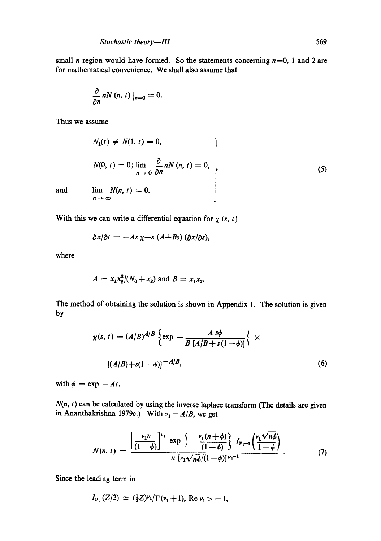small *n* region would have formed. So the statements concerning  $n=0$ , 1 and 2 are for mathematical convenience. We shall also assume that

$$
\frac{\partial}{\partial n}nN(n, t)\big|_{n=0}=0.
$$

Thus we assume

$$
N_1(t) \neq N(1, t) = 0,
$$
  
\n
$$
N(0, t) = 0; \lim_{n \to 0} \frac{\partial}{\partial n} nN(n, t) = 0,
$$
  
\nand 
$$
\lim_{n \to \infty} N(n, t) = 0.
$$
 (5)

With this we can write a differential equation for  $\chi$  (s, t)

$$
\frac{\partial x}{\partial t} = -As \chi - s (A + Bs) (\frac{\partial x}{\partial s}),
$$

where

$$
A = x_1 x_2^2 / (N_0 + x_2)
$$
 and  $B = x_1 x_2$ .

The method of obtaining the solution is shown in Appendix 1. The solution is given by

$$
\chi(s, t) = (A/B)^{A/B} \left\{ \exp - \frac{A s \phi}{B [A/B + s(1 - \phi)]} \right\} \times
$$
  
 
$$
[(A/B) + s(1 - \phi)]^{-A/B},
$$
 (6)

with  $\phi = \exp -At$ .

 $N(n, t)$  can be calculated by using the inverse laplace transform (The details are given in Ananthakrishna 1979c.) With  $v_1 = A/B$ , we get

$$
N(n, t) = \frac{\left[\frac{\nu_1 n}{(1-\phi)}\right]^{\nu_1} \exp \left(-\frac{\nu_1 (n+\phi)}{(1-\phi)}\right) I_{\nu_1-1} \left(\frac{\nu_1 \sqrt{n\phi}}{1-\phi}\right)}{n \left[\nu_1 \sqrt{n\phi}/(1-\phi)\right]^{\nu_1-1}}.
$$
(7)

Since the leading term in

$$
I_{\nu_1}(Z/2) \simeq (\frac{1}{2}Z)^{\nu_1}/\Gamma(\nu_1+1)
$$
, Re  $\nu_1 > -1$ ,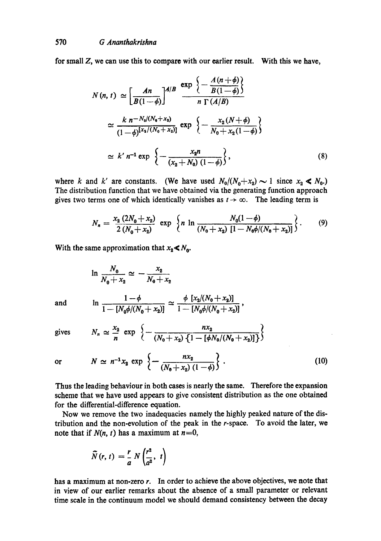for small Z, we can use this to compare with our earlier result. With this we have,

$$
N(n, t) \simeq \left[\frac{An}{B(1-\phi)}\right]^{A/B} \frac{\exp\left\{-\frac{A(n+\phi)}{B(1-\phi)}\right\}}{n \Gamma(A/B)}
$$
  

$$
\simeq \frac{k \ n^{-N_0/(N_0+x_1)}}{(1-\phi)^{[x_2/(N_0+x_2)]}} \exp\left\{-\frac{x_2(N+\phi)}{N_0+x_2(1-\phi)}\right\}
$$
  

$$
\simeq k' \ n^{-1} \exp\left\{-\frac{x_2n}{(x_2+N_0)(1-\phi)}\right\},
$$
 (8)

where k and k' are constants. (We have used  $N_0/(N_0+x_2) \sim 1$  since  $x_2 \le N_0$ .) The distribution function that we have obtained via the generating function approach gives two terms one of which identically vanishes as  $t \to \infty$ . The leading term is

$$
N_n = \frac{x_2 (2N_0 + x_2)}{2 (N_0 + x_2)} \exp \left\{ n \ln \frac{N_0 (1 - \phi)}{(N_0 + x_2) [1 - N_0 \phi / (N_0 + x_2)]} \right\}.
$$
 (9)

With the same approximation that  $x_2 \le N_0$ .

$$
\ln \frac{N_0}{N_0 + x_2} \simeq -\frac{x_2}{N_0 + x_2}
$$
\nand\n
$$
\ln \frac{1 - \phi}{1 - [N_0 \phi/(N_0 + x_2)]} \simeq \frac{\phi [x_2/(N_0 + x_2)]}{1 - [N_0 \phi/(N_0 + x_2)]},
$$

gives  $N_n \simeq \frac{m_2}{2} \exp \left\{-\frac{m_2}{2} + \frac{m_2}{2} + \frac{m_2}{2} + \cdots + \frac{m_n}{2} + \cdots \right\}$ 

or 
$$
N \simeq n^{-1}x_2 \exp \left\{-\frac{n x_2}{(x_0 + x_2)^2}\right\}.
$$
 (10)

 $(N_{0}+x_{2}) (1-\phi)$ 

Thus the leading behaviour in both cases is nearly the same. Therefore the expansion scheme that we have used appears to give consistent distribution as the one obtained for the differential-difference equation.

Now we remove the two inadequacies namely the highly peaked nature of the distribution and the non-evolution of the peak in the r-space. To avoid the later, we note that if  $N(n, t)$  has a maximum at  $n = 0$ ,

$$
\widetilde{N}(r, t) = \frac{r}{a} N\left(\frac{r^2}{a^2}, t\right)
$$

has a maximum at non-zero r. In order to achieve the above objectives, we note that in view of our earlier remarks about the absence of a small parameter or relevant time scale in the continuum model we should demand consistency between the decay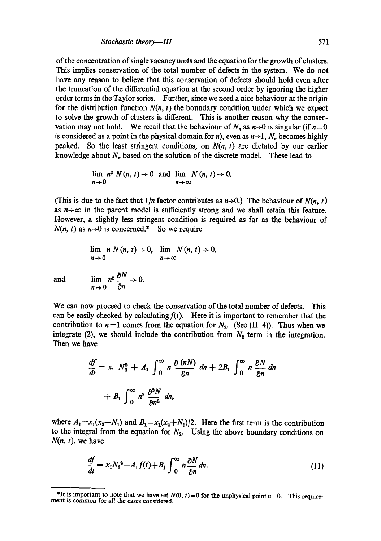of the concentration of single vacancy units and the equation for the growth of clusters. This implies conservation of the total number of defects in the system. We do not have any reason to believe that this conservation of defects should hold even after the truncation of the differential equation at the second order by ignoring the higher order terms in the Taylor series. Further, since we need a nice behaviour at the origin for the distribution function  $N(n, t)$  the boundary condition under which we expect to solve the growth of dusters is different. This is another reason why the conservation may not hold. We recall that the behaviour of  $N_n$  as  $n\rightarrow 0$  is singular (if  $n=0$ is considered as a point in the physical domain for n), even as  $n\rightarrow 1$ ,  $N_n$  becomes highly peaked. So the least stringent conditions, on *N(n, t)* are dictated by our earlier knowledge about  $N_n$  based on the solution of the discrete model. These lead to

$$
\lim_{n\to 0} n^2 N(n, t) \to 0 \text{ and } \lim_{n\to \infty} N(n, t) \to 0.
$$

(This is due to the fact that  $1/n$  factor contributes as  $n\rightarrow 0$ .) The behaviour of  $N(n, t)$ as  $n \rightarrow \infty$  in the parent model is sufficiently strong and we shall retain this feature. However, a slightly less stringent condition is required as far as the behaviour of  $N(n, t)$  as  $n\rightarrow 0$  is concerned.\* So we require

$$
\lim_{n\to 0} n N(n, t) \to 0, \quad \lim_{n\to \infty} N(n, t) \to 0,
$$

and 
$$
\lim_{n \to 0} n^2 \frac{\partial N}{\partial n} \to 0.
$$

We can now proceed to check the conservation of the total number of defects. This can be easily checked by calculating  $f(t)$ . Here it is important to remember that the contribution to  $n = 1$  comes from the equation for  $N_2$ . (See (II. 4)). Thus when we integrate (2), we should include the contribution from  $N_2$  term in the integration. Then we have

$$
\frac{df}{dt} = x, N_1^2 + A_1 \int_0^\infty n \frac{\partial (nN)}{\partial n} dn + 2B_1 \int_0^\infty n \frac{\partial N}{\partial n} dn
$$

$$
+ B_1 \int_0^\infty n^2 \frac{\partial^2 N}{\partial n^2} dn,
$$

where  $A_1 = x_1(x_2 - N_1)$  and  $B_1 = x_1(x_2 + N_1)/2$ . Here the first term is the contribution to the integral from the equation for  $N_2$ . Using the above boundary conditions on *N(n, t),* we have

$$
\frac{df}{dt} = x_1 N_1^2 - A_1 f(t) + B_1 \int_0^\infty n \frac{\partial N}{\partial n} dn.
$$
\n(11)

<sup>\*</sup>It is important to note that we have set  $N(0, t)=0$  for the unphysical point  $n=0$ . This requirement is common for all the cases considered.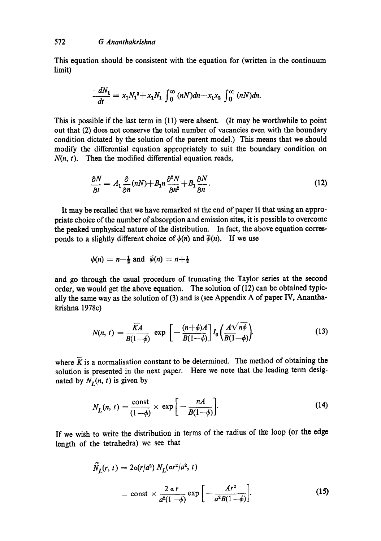This equation should be consistent with the equation for (written in the continuum limit)

$$
\frac{-dN_1}{dt} = x_1 N_1^2 + x_1 N_1 \int_0^\infty (nN)dn - x_1 x_2 \int_0^\infty (nN)dn.
$$

This is possible if the last term in (11) were absent. (It may be worthwhile to point out that (2) does not conserve the total number of vacancies even with the boundary condition dictated by the solution of the parent model.) This means that we should modify the differential equation appropriately to suit the boundary condition on  $N(n, t)$ . Then the modified differential equation reads,

$$
\frac{\partial N}{\partial t} = A_1 \frac{\partial}{\partial n} (nN) + B_1 n \frac{\partial^2 N}{\partial n^2} + B_1 \frac{\partial N}{\partial n}.
$$
 (12)

It may be recalled that we have remarked at the end of paper II that using an appropriate choice of the number of absorption and emission sites, it is possible to overcome the peaked unphysical nature of the distribution. In fact, the above equation corresponds to a slightly different choice of  $\psi(n)$  and  $\bar{\psi}(n)$ . If we use

$$
\psi(n) = n - \frac{1}{2}
$$
 and  $\bar{\psi}(n) = n + \frac{1}{2}$ 

and go through the usual procedure of truncating the Taylor series at the second order, we would get the above equation. The solution of (12) can be obtained typically the same way as the solution of (3) and is (see Appendix A of paper IV, Ananthakrishna 1978c)

$$
N(n, t) = \frac{\overline{KA}}{B(1-\phi)} \exp\left[-\frac{(n+\phi)A}{B(1-\phi)}\right] I_0\left(\frac{A\sqrt{n\phi}}{B(1-\phi)}\right).
$$
 (13)

where  $\overline{K}$  is a normalisation constant to be determined. The method of obtaining the solution is presented in the next paper. Here we note that the leading term designated by  $N_I(n, t)$  is given by

$$
N_L(n, t) = \frac{\text{const}}{(1-\phi)} \times \exp\left[-\frac{nA}{B(1-\phi)}\right].
$$
 (14)

If we wish to write the distribution in terms of the radius of the loop (or the edge length of the tetrahedra) we see that

$$
\widetilde{N}_L(r, t) = 2a(r/a^2) N_L(ar^2/a^2, t)
$$
  
= const  $\times \frac{2 a r}{a^2(1 - \phi)} \exp \left[ -\frac{Ar^2}{a^2B(1 - \phi)} \right].$  (15)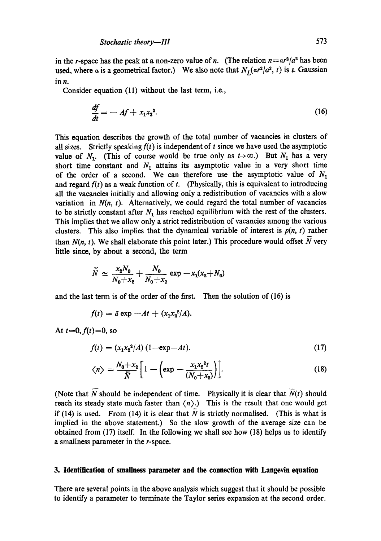in the r-space has the peak at a non-zero value of *n*. (The relation  $n = ar^2/a^2$  has been used, where a is a geometrical factor.) We also note that  $N_L(\alpha r^2/a^2, t)$  is a Gaussian in  $n$ .

Consider equation (11) without the last term, i.e.,

$$
\frac{df}{dt} = -A f + x_1 x_2^2. \tag{16}
$$

This equation describes the growth of the total number of vacancies in clusters of all sizes. Strictly speaking  $f(t)$  is independent of t since we have used the asymptotic value of  $N_1$ . (This of course would be true only as  $t\rightarrow\infty$ .) But  $N_1$  has a very short time constant and  $N_1$  attains its asymptotic value in a very short time of the order of a second. We can therefore use the asymptotic value of  $N_1$ and regard  $f(t)$  as a weak function of t. (Physically, this is equivalent to introducing all the vacancies initially and allowing only a redistribution of vacancies with a slow variation in  $N(n, t)$ . Alternatively, we could regard the total number of vacancies to be strictly constant after  $N_1$  has reached equilibrium with the rest of the clusters. This implies that we allow only a strict redistribution of vacancies among the various clusters. This also implies that the dynamical variable of interest is  $p(n, t)$  rather than  $N(n, t)$ . We shall elaborate this point later.) This procedure would offset  $\overline{N}$  very little since, by about a second, the term

$$
\widetilde{N} \simeq \frac{x_2 N_0}{N_0 + x_2} + \frac{N_0}{N_0 + x_2} \exp \left(-x_1(x_2 + N_0)\right)
$$

and the last term is of the order of the first. Then the solution of (16) is

$$
f(t) = \bar{a} \exp -At + (x_1x_2^2/A).
$$

At  $t=0, f(t)=0$ , so

$$
f(t) = (x_1 x_2^2 / A) (1 - \exp{-At}).
$$
 (17)

$$
\langle n \rangle = \frac{N_0 + x_2}{\overline{N}} \left[ 1 - \left( \exp - \frac{x_1 x_2^{2t}}{(N_0 + x_2)} \right) \right]. \tag{18}
$$

(Note that  $\overline{N}$  should be independent of time. Physically it is clear that  $\overline{N}(t)$  should reach its steady state much faster than  $\langle n \rangle$ .) This is the result that one would get if  $(14)$  is used. From  $(14)$  it is clear that N is strictly normalised. (This is what is implied in the above statement.) So the slow growth of the average size can be obtained from (17) itself, In the following we shall see how (18) helps us to identify a smallness parameter in the r-space,

#### **3. Identification of smallness parameter and the connection with Langevin equation**

There are several points in the above analysis which suggest that it should be possible to identify a parameter to terminate the Taylor series expansion at the second order.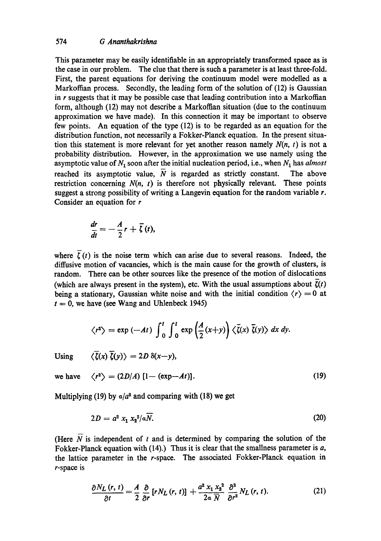This parameter may be easily identifiable in an appropriately transformed space as is the case in our problem. The clue that there is such a parameter is at least three-fold. First, the parent equations for deriving the continuum model were modelled as a Markoffian process. Secondly, the leading form of the solution of (12) is Gaussian in  *suggests that it may be possible case that leading contribution into a Markoffian* form, although (12) may not describe a Markoffian situation (due to the continuum approximation we have made). In this connection it may be important to observe few points. An equation of the type (12) is to be regarded as an equation for the distribution function, not necessarily a Fokker-Planck equation. In the present situation this statement is more relevant for yet another reason namely  $N(n, t)$  is not a probability distribution. However, in the approximation we use namely using the asymptotic value of  $N_1$  soon after the initial nucleation period, i.e., when  $N_1$  has *almost* reached its asymptotic value,  $\overline{N}$  is regarded as strictly constant. The above restriction concerning  $N(n, t)$  is therefore not physically relevant. These points suggest a strong possibility of writing a Langevin equation for the random variable  $r$ . Consider an equation for  $r$ 

$$
\frac{dr}{dt}=-\frac{A}{2}r+\overline{\zeta}(t),
$$

where  $\overline{\zeta}(t)$  is the noise term which can arise due to several reasons. Indeed, the diffusive motion of vacancies, which is the main cause for the growth of clusters, is random. There can be other sources like the presence of the motion of dislocations (which are always present in the system), etc. With the usual assumptions about  $\zeta(t)$ being a stationary, Gaussian white noise and with the initial condition  $\langle r \rangle = 0$  at  $t = 0$ , we have (see Wang and Uhlenbeck 1945)

$$
\langle r^2 \rangle = \exp(-At) \int_0^t \int_0^t \exp\left(\frac{A}{2}(x+y)\right) \langle \bar{\zeta}(x) \bar{\zeta}(y) \rangle dx dy.
$$

 $Using$ 

$$
\langle \overline{\zeta}(x) \overline{\zeta}(y) \rangle = 2D \delta(x-y),
$$

we have  $\langle r^2 \rangle = (2D/A) [1 - (\exp - At)].$  (19)

Multiplying (19) by  $a/a^2$  and comparing with (18) we get

$$
2D = a^2 x_1 x_2^2 / a \overline{N}.
$$
 (20)

(Here  $\overline{N}$  is independent of t and is determined by comparing the solution of the Fokker-Planck equation with  $(14)$ .) Thus it is clear that the smallness parameter is a, the lattice parameter in the r-space. The associated Fokker-Planck equation in r-space is

$$
\frac{\partial N_L(r,t)}{\partial t} = \frac{A}{2} \frac{\partial}{\partial r} \left[ r N_L(r,t) \right] + \frac{a^2 x_1 x_2^2}{2a \overline{N}} \frac{\partial^2}{\partial r^2} N_L(r,t). \tag{21}
$$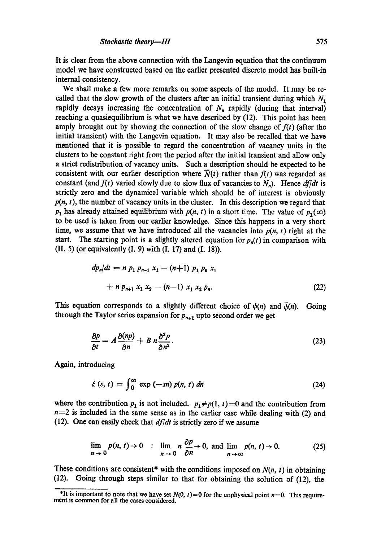It is clear from the above connection with the Langevin equation that the continuum model we have constructed based on the earlier presented discrete model has built-in internal consistency.

We shall make a few more remarks on some aspects of the model. It may be recalled that the slow growth of the clusters after an initial transient during which  $N_1$ rapidly decays increasing the concentration of  $N_n$  rapidly (during that interval) reaching a quasiequilibrium is what we have described by (12). This point has been amply brought out by showing the connection of the slow change of  $f(t)$  (after the initial transient) with the Langevin equation. It may also be recalled that we have mentioned that it is possible to regard the concentration of vacancy units in the clusters to be constant right from the period after the initial transient and allow only a strict redistribution of vacancy units. Such a description should be expected to be consistent with our earlier description where  $\overline{N}(t)$  rather than  $f(t)$  was regarded as constant (and  $f(t)$  varied slowly due to slow flux of vacancies to  $N_n$ ). Hence  $df/dt$  is strictly zero and the dynamical variable which should be of interest is obviously  $p(n, t)$ , the number of vacancy units in the cluster. In this description we regard that  $p_1$  has already attained equilibrium with  $p(n, t)$  in a short time. The value of  $p_1(\infty)$ to be used is taken from our earlier knowledge. Since this happens in a very short time, we assume that we have introduced all the vacancies into  $p(n, t)$  right at the start. The starting point is a slightly altered equation for  $p_n(t)$  in comparison with (II. 5) (or equivalently (I. 9) with (I. 17) and (I. 18)).

$$
dp_n/dt = n p_1 p_{n-1} x_1 - (n+1) p_1 p_n x_1
$$
  
+ n p\_{n+1} x\_1 x\_2 - (n-1) x\_1 x\_2 p\_n. (22)

This equation corresponds to a slightly different choice of  $\psi(n)$  and  $\bar{\psi}(n)$ . Going thiough the Taylor series expansion for  $p_{n+1}$  upto second order we get

$$
\frac{\partial p}{\partial t} = A \frac{\partial (np)}{\partial n} + B n \frac{\partial^2 p}{\partial n^2}.
$$
 (23)

Again, introducing

$$
\xi(s, t) = \int_0^\infty \exp(-sn) p(n, t) \, dn \tag{24}
$$

where the contribution  $p_1$  is not included.  $p_1 \neq p(1, t) = 0$  and the contribution from  $n=2$  is included in the same sense as in the earlier case while dealing with (2) and (12). One can easily check that *df/dt* is strictly zero if we assume

$$
\lim_{n \to 0} p(n, t) \to 0 \quad : \quad \lim_{n \to 0} n \frac{\partial p}{\partial n} \to 0, \text{ and } \lim_{n \to \infty} p(n, t) \to 0. \tag{25}
$$

These conditions are consistent<sup>\*</sup> with the conditions imposed on  $N(n, t)$  in obtaining (12). Going through steps similar to that for obtaining the solution of (12), the

<sup>\*</sup>It is important to note that we have set  $N(0, t) = 0$  for the unphysical point  $n=0$ . This requirement is common for all the cases considered.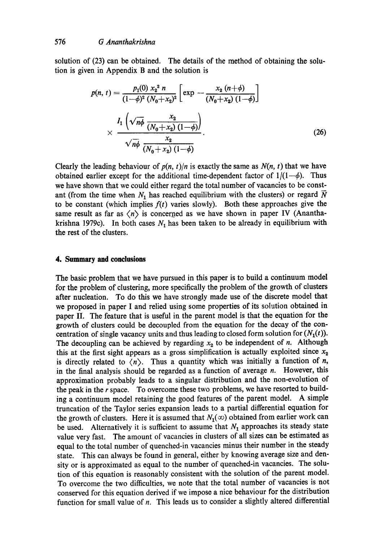solution of (23) can be obtained. The details of the method of obtaining the solution is given in Appendix B and the solution is

$$
p(n, t) = \frac{p_1(0) x_2^2 n}{(1-\phi)^2 (N_0+x_2)^2} \left[ \exp \left(-\frac{x_2 (n+\phi)}{(N_0+x_2) (1-\phi)}\right) \right]
$$
  
 
$$
\times \frac{I_1 \left(\sqrt{n\phi} \frac{x_2}{(N_0+x_2) (1-\phi)}\right)}{\sqrt{n\phi} \frac{x_2}{(N_0+x_2) (1-\phi)}}.
$$
 (26)

Clearly the leading behaviour of  $p(n, t)/n$  is exactly the same as  $N(n, t)$  that we have obtained earlier except for the additional time-dependent factor of  $1/(1-\phi)$ . Thus we have shown that we could either regard the total number of vacancies to be constant (from the time when  $N_1$  has reached equilibrium with the clusters) or regard  $\overline{N}$ to be constant (which implies  $f(t)$  varies slowly). Both these approaches give the same result as far as  $\langle n \rangle$  is concerned as we have shown in paper IV (Ananthakrishna 1979c). In both cases  $N_1$  has been taken to be already in equilibrium with the rest of the clusters.

#### **4. Summary and conclusions**

The basic problem that we have pursued in this paper is to build a continuum model for the problem of clustering, more specifically the problem of the growth of clusters after nucleation. To do this we have strongly made use of the discrete model that we proposed in paper I and relied using some properties of its solution obtained in paper II. The feature that is useful in the parent model is that the equation for the growth of dusters could be decoupled from the equation for the decay of the concentration of single vacancy units and thus leading to closed form solution for  $(N_1(t))$ . The decoupling can be achieved by regarding  $x<sub>2</sub>$  to be independent of n. Although this at the first sight appears as a gross simplification is actually exploited since  $x<sub>2</sub>$ is directly related to  $\langle n \rangle$ . Thus a quantity which was initially a function of *n*, in the final analysis should be regarded as a function of average  $n$ . However, this approximation probably leads to a singular distribution and the non-evolution of the peak in the r space. To overcome these two problems, we have resorted to building a continuum model retaining the good features of the parent model. A simple truncation of the Taylor series expansion leads to a partial differential equation for the growth of clusters. Here it is assumed that  $N_1(\infty)$  obtained from earlier work can be used. Alternatively it is sufficient to assume that  $N_1$  approaches its steady state value very fast. The amount of vacancies in clusters of all sizes can be estimated as equal to the total number of quenched-in vacancies minus their number in the steady state. This can always be found in general, either by knowing average size and density or is approximated as equal to the number of quenched-in vacancies. The solution of this equation is reasonably consistent with the solution of the parent model. To overcome the two difficulties, we note that the total number of vacancies is not conserved for this equation derived if we impose a nice behaviour for the distribution function for small value of  $n$ . This leads us to consider a slightly altered differential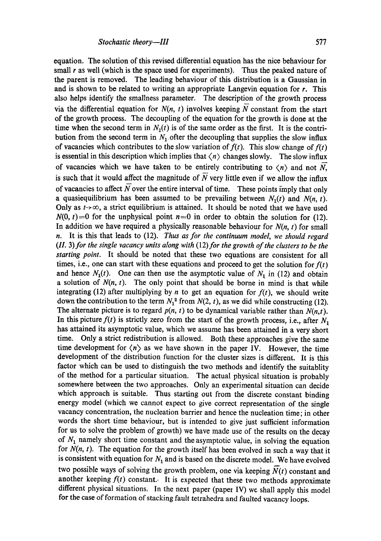equation. The solution of this revised differential equation has the nice behaviour for small  $r$  as well (which is the space used for experiments). Thus the peaked nature of the parent is removed. The leading behaviour of this distribution is a Gaussian in and is shown to be related to writing an appropriate Langevin equation for r. This also helps identify the smallness parameter. The description of the growth process via the differential equation for  $N(n, t)$  involves keeping  $\overline{N}$  constant from the start of the growth process. The decoupling of the equation for the growth is done at the time when the second term in  $N_1(t)$  is of the same order as the first. It is the contribution from the second term in  $N_1$  ofter the decoupling that supplies the slow influx of vacancies which contributes to the slow variation of  $f(t)$ . This slow change of  $f(t)$ is essential in this description which implies that  $\langle n \rangle$  changes slowly. The slow influx of vacancies which we have taken to be entirely contributing to  $\langle n \rangle$  and not N, is such that it would affect the magnitude of  $\overline{N}$  very little even if we allow the influx of vacancies to affect  $\overline{N}$  over the entire interval of time. These points imply that only a quasiequilibrium has been assumed to be prevailing between  $N_1(t)$  and  $N(n, t)$ . Only as  $t\rightarrow\infty$ , a strict equilibrium is attained. It should be noted that we have used  $N(0, t) = 0$  for the unphysical point  $n=0$  in order to obtain the solution for (12). In addition we have required a physically reasonable behaviour for  $N(n, t)$  for small n. It is this that leads to (12). *Thus as for the continuum model we should regard*  (II. 3) for the single vacancy units along with (12) for the growth of the clusters to be the *starting point.* It should be noted that these two equations are consistent for all times, i.e., one can start with these equations and proceed to get the solution for  $f(t)$ and hence  $N_1(t)$ . One can then use the asymptotic value of  $N_1$  in (12) and obtain a solution of  $N(n, t)$ . The only point that should be borne in mind is that while integrating (12) after multiplying by *n* to get an equation for  $f(t)$ , we should write down the contribution to the term  $N_1^2$  from  $N(2, t)$ , as we did while constructing (12). The alternate picture is to regard  $p(n, t)$  to be dynamical variable rather than  $N(n, t)$ . In this picture  $f(t)$  is strictly zero from the start of the growth process, i.e., after  $N_1$ has attained its asymptotic value, which we assume has been attained in a very short time. Only a strict redistribution is allowed. Both these approaches give the same time development for  $\langle n \rangle$  as we have shown in the paper IV. However, the time development of the distribution function for the cluster sizes is different. It is this factor which can be used to distinguish the two methods and identify the suitablity of the method for a particular situation. The actual physical situation is probably somewhere between the two approaches. Only an experimental situation can decide which approach is suitable. Thus starting out from the discrete constant binding energy model (which we cannot expect to give correct representation of the single vacancy concentration, the nucleation barrier and hence the nucleation time; in other words the short time behaviour, but is intended to give just sufficient information for us to solve the problem of growth) we have made use of the results on the decay of  $N_1$  namely short time constant and the asymptotic value, in solving the equation for *N(n, t).* The equation for the growth itself has been evolved in such a way that it is consistent with equation for  $N_1$  and is based on the discrete model. We have evolved two possible ways of solving the growth problem, one via keeping  $N(t)$  constant and another keeping  $f(t)$  constant. It is expected that these two methods approximate different physical situations. In the next paper (paper IV) we shall apply this model for the case of formation of stacking fault tetrahedra and faulted vacancy loops.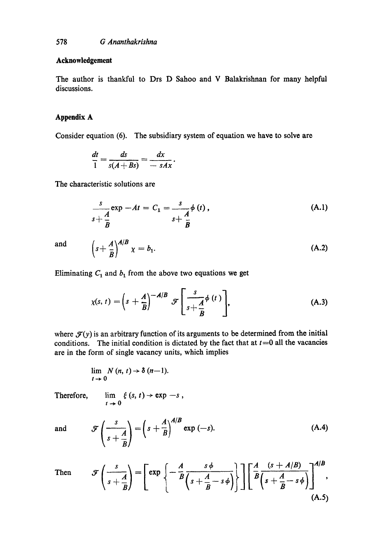#### **Acknowledgement**

The author is thankful to Drs D Sahoo and V Balakrishnan for many helpful discussions.

# **Appendix A**

Consider equation (6). The subsidiary system of equation we have to solve are

$$
\frac{dt}{1} = \frac{ds}{s(A+Bs)} = \frac{dx}{-sAx}.
$$

The characteristic solutions are

$$
\frac{s}{s+\frac{A}{B}}\exp -At = C_1 = \frac{s}{s+\frac{A}{B}}\phi (t), \qquad (A.1)
$$

and

$$
\left(s+\frac{A}{B}\right)^{A/B}\chi=b_1.
$$
 (A.2)

Eliminating  $C_1$  and  $b_1$  from the above two equations we get

$$
\chi(s,\,t)=\left(s+\frac{A}{B}\right)^{-A/B}\,\mathscr{F}\left[\frac{s}{s+\frac{A}{B}}\phi\left(t\right)\right],\tag{A.3}
$$

where  $\mathcal{F}(y)$  is an arbitrary function of its arguments to be determined from the initial conditions. The initial condition is dictated by the fact that at  $t = 0$  all the vacancies are in the form of single vacancy units, which implies

$$
\lim_{t\to 0} N(n, t) \to \delta (n-1).
$$

Therefore,

$$
\lim_{t\to 0} \xi(s, t) \to \exp -s,
$$

and 
$$
\mathscr{F}\left(\frac{s}{s+\frac{A}{B}}\right) = \left(s+\frac{A}{B}\right)^{A/B} \exp(-s).
$$
 (A.4)

Then 
$$
\mathcal{F}\left(\frac{s}{s+\frac{A}{B}}\right) = \left[\exp\left\{-\frac{A}{B}\frac{s\phi}{\left(s+\frac{A}{B}-s\phi\right)}\right\}\right] \left[\frac{A}{B}\frac{(s+A/B)}{\left(s+\frac{A}{B}-s\phi\right)}\right]^{A/B},\tag{A.5}
$$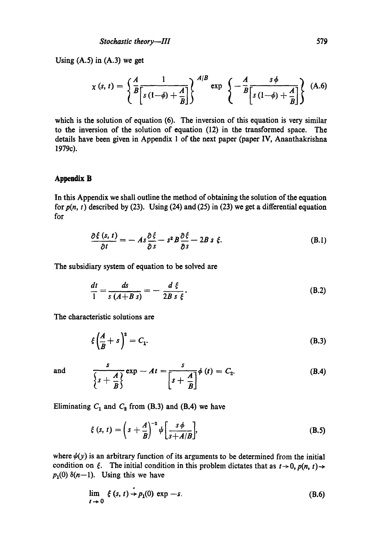Using  $(A.5)$  in  $(A.3)$  we get

$$
\chi\left(s,\,t\right)=\left\{\frac{A}{B}\frac{1}{\left[s\left(1-\phi\right)+\frac{A}{B}\right]}\right\}^{A/B}\exp\left\{-\frac{A}{B}\frac{s\,\phi}{\left[s\left(1-\phi\right)+\frac{A}{B}\right]}\right\}\,\,\,\text{(A.6)}
$$

which is the solution of equation (6). The inversion of this equation is very similar to the inversion of the solution of equation (12) in the transformed space. The details have been given in Appendix 1 of the next paper (paper IV, Ananthakrishna 1979c).

#### **Appendix B**

In this Appendix we shall outline the method of obtaining the solution of the equation for  $p(n, t)$  described by (23). Using (24) and (25) in (23) we get a differential equation for

$$
\frac{\partial \xi\left(s,\,t\right)}{\partial t} = -\,As\frac{\partial \xi}{\partial s} - s^2B\frac{\partial \xi}{\partial s} - 2B\,s\,\,\xi. \tag{B.1}
$$

The subsidiary system of equation to be solved are

$$
\frac{dt}{1} = \frac{ds}{s\left(A+B\right)s} = -\frac{d\xi}{2Bs\xi}.
$$
\n(B.2)

The characteristic solutions are

$$
\xi \left(\frac{A}{B} + s\right)^2 = C_1. \tag{B.3}
$$

and 
$$
\frac{s}{\left\{s+\frac{A}{B}\right\}} \exp - At = \frac{s}{\left[s+\frac{A}{B}\right]} \phi(t) = C_2.
$$
 (B.4)

Eliminating  $C_1$  and  $C_2$  from (B.3) and (B.4) we have

 $\overline{a}$ 

$$
\xi(s, t) = \left(s + \frac{A}{B}\right)^{-2} \psi \left[\frac{s\phi}{s + A/B}\right],
$$
\n(B.5)

where  $\psi(y)$  is an arbitrary function of its arguments to be determined from the initial condition on  $\xi$ . The initial condition in this problem dictates that as  $t \to 0$ ,  $p(n, t) \to$  $p_1(0)$   $\delta(n-1)$ . Using this we have

$$
\lim_{t \to 0} \xi(s, t) \to p_1(0) \exp -s. \tag{B.6}
$$